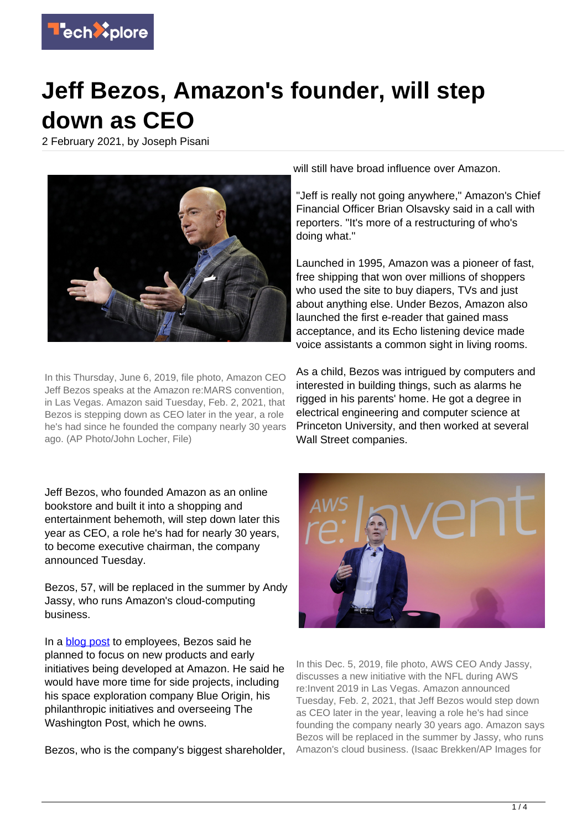

## **Jeff Bezos, Amazon's founder, will step down as CEO**

2 February 2021, by Joseph Pisani



In this Thursday, June 6, 2019, file photo, Amazon CEO Jeff Bezos speaks at the Amazon re:MARS convention, in Las Vegas. Amazon said Tuesday, Feb. 2, 2021, that Bezos is stepping down as CEO later in the year, a role he's had since he founded the company nearly 30 years ago. (AP Photo/John Locher, File)

Jeff Bezos, who founded Amazon as an online bookstore and built it into a shopping and entertainment behemoth, will step down later this year as CEO, a role he's had for nearly 30 years, to become executive chairman, the company announced Tuesday.

Bezos, 57, will be replaced in the summer by Andy Jassy, who runs Amazon's cloud-computing business.

In a **[blog post](https://www.aboutamazon.com/news/company-news/email-from-jeff-bezos-to-employees)** to employees, Bezos said he planned to focus on new products and early initiatives being developed at Amazon. He said he would have more time for side projects, including his space exploration company Blue Origin, his philanthropic initiatives and overseeing The Washington Post, which he owns.

Bezos, who is the company's biggest shareholder,

will still have broad influence over Amazon.

"Jeff is really not going anywhere," Amazon's Chief Financial Officer Brian Olsavsky said in a call with reporters. "It's more of a restructuring of who's doing what."

Launched in 1995, Amazon was a pioneer of fast, free shipping that won over millions of shoppers who used the site to buy diapers, TVs and just about anything else. Under Bezos, Amazon also launched the first e-reader that gained mass acceptance, and its Echo listening device made voice assistants a common sight in living rooms.

As a child, Bezos was intrigued by computers and interested in building things, such as alarms he rigged in his parents' home. He got a degree in electrical engineering and computer science at Princeton University, and then worked at several Wall Street companies.



In this Dec. 5, 2019, file photo, AWS CEO Andy Jassy, discusses a new initiative with the NFL during AWS re:Invent 2019 in Las Vegas. Amazon announced Tuesday, Feb. 2, 2021, that Jeff Bezos would step down as CEO later in the year, leaving a role he's had since founding the company nearly 30 years ago. Amazon says Bezos will be replaced in the summer by Jassy, who runs Amazon's cloud business. (Isaac Brekken/AP Images for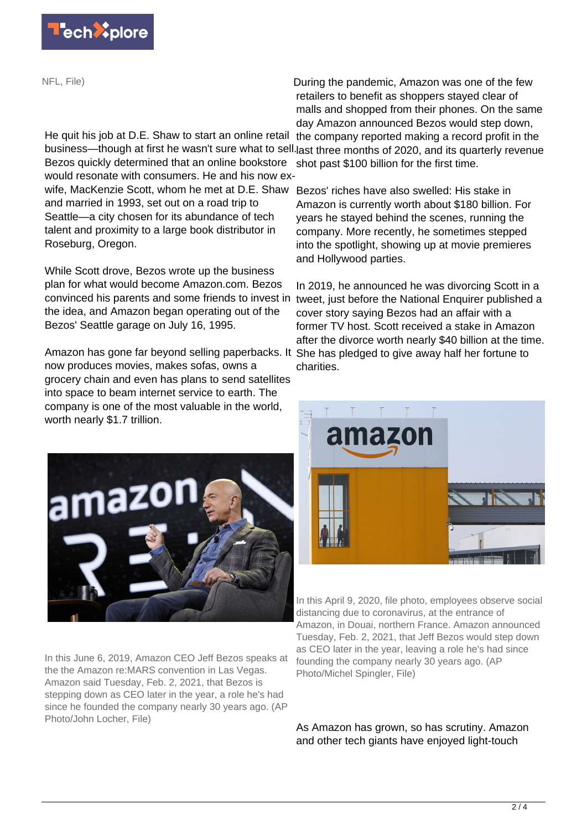

NFL, File)

He quit his job at D.E. Shaw to start an online retail business—though at first he wasn't sure what to sell.last three months of 2020, and its quarterly revenue Bezos quickly determined that an online bookstore would resonate with consumers. He and his now exwife, MacKenzie Scott, whom he met at D.E. Shaw Bezos' riches have also swelled: His stake in and married in 1993, set out on a road trip to Seattle—a city chosen for its abundance of tech talent and proximity to a large book distributor in Roseburg, Oregon.

While Scott drove, Bezos wrote up the business plan for what would become Amazon.com. Bezos convinced his parents and some friends to invest in the idea, and Amazon began operating out of the Bezos' Seattle garage on July 16, 1995.

Amazon has gone far beyond selling paperbacks. It She has pledged to give away half her fortune to now produces movies, makes sofas, owns a grocery chain and even has plans to send satellites into space to beam internet service to earth. The company is one of the most valuable in the world, worth nearly \$1.7 trillion.



In this June 6, 2019, Amazon CEO Jeff Bezos speaks at the the Amazon re:MARS convention in Las Vegas. Amazon said Tuesday, Feb. 2, 2021, that Bezos is stepping down as CEO later in the year, a role he's had since he founded the company nearly 30 years ago. (AP Photo/John Locher, File)

During the pandemic, Amazon was one of the few retailers to benefit as shoppers stayed clear of malls and shopped from their phones. On the same day Amazon announced Bezos would step down,

the company reported making a record profit in the shot past \$100 billion for the first time.

Amazon is currently worth about \$180 billion. For years he stayed behind the scenes, running the company. More recently, he sometimes stepped into the spotlight, showing up at movie premieres and Hollywood parties.

In 2019, he announced he was divorcing Scott in a tweet, just before the National Enquirer published a cover story saying Bezos had an affair with a former TV host. Scott received a stake in Amazon after the divorce worth nearly \$40 billion at the time. charities.



In this April 9, 2020, file photo, employees observe social distancing due to coronavirus, at the entrance of Amazon, in Douai, northern France. Amazon announced Tuesday, Feb. 2, 2021, that Jeff Bezos would step down as CEO later in the year, leaving a role he's had since founding the company nearly 30 years ago. (AP Photo/Michel Spingler, File)

As Amazon has grown, so has scrutiny. Amazon and other tech giants have enjoyed light-touch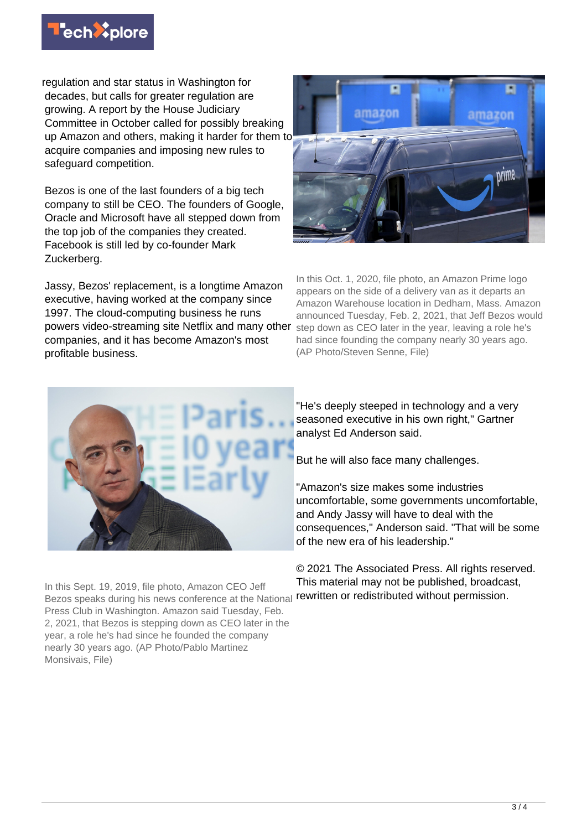

regulation and star status in Washington for decades, but calls for greater regulation are growing. A report by the House Judiciary Committee in October called for possibly breaking up Amazon and others, making it harder for them to acquire companies and imposing new rules to safeguard competition.

Bezos is one of the last founders of a big tech company to still be CEO. The founders of Google, Oracle and Microsoft have all stepped down from the top job of the companies they created. Facebook is still led by co-founder Mark Zuckerberg.

Jassy, Bezos' replacement, is a longtime Amazon executive, having worked at the company since 1997. The cloud-computing business he runs powers video-streaming site Netflix and many other step down as CEO later in the year, leaving a role he's companies, and it has become Amazon's most profitable business.



In this Oct. 1, 2020, file photo, an Amazon Prime logo appears on the side of a delivery van as it departs an Amazon Warehouse location in Dedham, Mass. Amazon announced Tuesday, Feb. 2, 2021, that Jeff Bezos would had since founding the company nearly 30 years ago. (AP Photo/Steven Senne, File)



"He's deeply steeped in technology and a very seasoned executive in his own right," Gartner analyst Ed Anderson said.

But he will also face many challenges.

"Amazon's size makes some industries uncomfortable, some governments uncomfortable, and Andy Jassy will have to deal with the consequences," Anderson said. "That will be some of the new era of his leadership."

© 2021 The Associated Press. All rights reserved. This material may not be published, broadcast, rewritten or redistributed without permission.

In this Sept. 19, 2019, file photo, Amazon CEO Jeff Bezos speaks during his news conference at the National Press Club in Washington. Amazon said Tuesday, Feb. 2, 2021, that Bezos is stepping down as CEO later in the year, a role he's had since he founded the company nearly 30 years ago. (AP Photo/Pablo Martinez Monsivais, File)